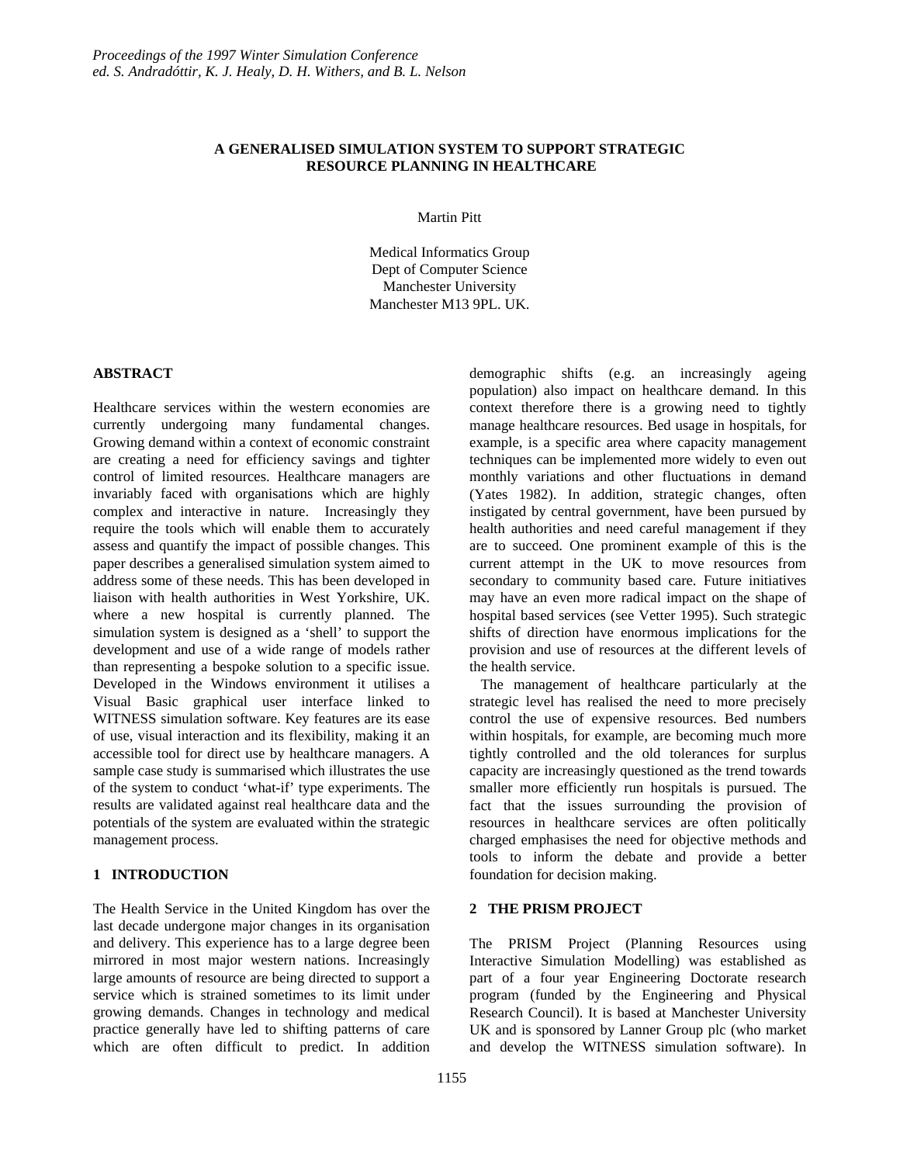# **A GENERALISED SIMULATION SYSTEM TO SUPPORT STRATEGIC RESOURCE PLANNING IN HEALTHCARE**

Martin Pitt

Medical Informatics Group Dept of Computer Science Manchester University Manchester M13 9PL. UK.

# **ABSTRACT**

Healthcare services within the western economies are currently undergoing many fundamental changes. Growing demand within a context of economic constraint are creating a need for efficiency savings and tighter control of limited resources. Healthcare managers are invariably faced with organisations which are highly complex and interactive in nature. Increasingly they require the tools which will enable them to accurately assess and quantify the impact of possible changes. This paper describes a generalised simulation system aimed to address some of these needs. This has been developed in liaison with health authorities in West Yorkshire, UK. where a new hospital is currently planned. The simulation system is designed as a 'shell' to support the development and use of a wide range of models rather than representing a bespoke solution to a specific issue. Developed in the Windows environment it utilises a Visual Basic graphical user interface linked to WITNESS simulation software. Key features are its ease of use, visual interaction and its flexibility, making it an accessible tool for direct use by healthcare managers. A sample case study is summarised which illustrates the use of the system to conduct 'what-if' type experiments. The results are validated against real healthcare data and the potentials of the system are evaluated within the strategic management process.

# **1 INTRODUCTION**

The Health Service in the United Kingdom has over the last decade undergone major changes in its organisation and delivery. This experience has to a large degree been mirrored in most major western nations. Increasingly large amounts of resource are being directed to support a service which is strained sometimes to its limit under growing demands. Changes in technology and medical practice generally have led to shifting patterns of care which are often difficult to predict. In addition demographic shifts (e.g. an increasingly ageing population) also impact on healthcare demand. In this context therefore there is a growing need to tightly manage healthcare resources. Bed usage in hospitals, for example, is a specific area where capacity management techniques can be implemented more widely to even out monthly variations and other fluctuations in demand (Yates 1982). In addition, strategic changes, often instigated by central government, have been pursued by health authorities and need careful management if they are to succeed. One prominent example of this is the current attempt in the UK to move resources from secondary to community based care. Future initiatives may have an even more radical impact on the shape of hospital based services (see Vetter 1995). Such strategic shifts of direction have enormous implications for the provision and use of resources at the different levels of the health service.

 The management of healthcare particularly at the strategic level has realised the need to more precisely control the use of expensive resources. Bed numbers within hospitals, for example, are becoming much more tightly controlled and the old tolerances for surplus capacity are increasingly questioned as the trend towards smaller more efficiently run hospitals is pursued. The fact that the issues surrounding the provision of resources in healthcare services are often politically charged emphasises the need for objective methods and tools to inform the debate and provide a better foundation for decision making.

# **2 THE PRISM PROJECT**

The PRISM Project (Planning Resources using Interactive Simulation Modelling) was established as part of a four year Engineering Doctorate research program (funded by the Engineering and Physical Research Council). It is based at Manchester University UK and is sponsored by Lanner Group plc (who market and develop the WITNESS simulation software). In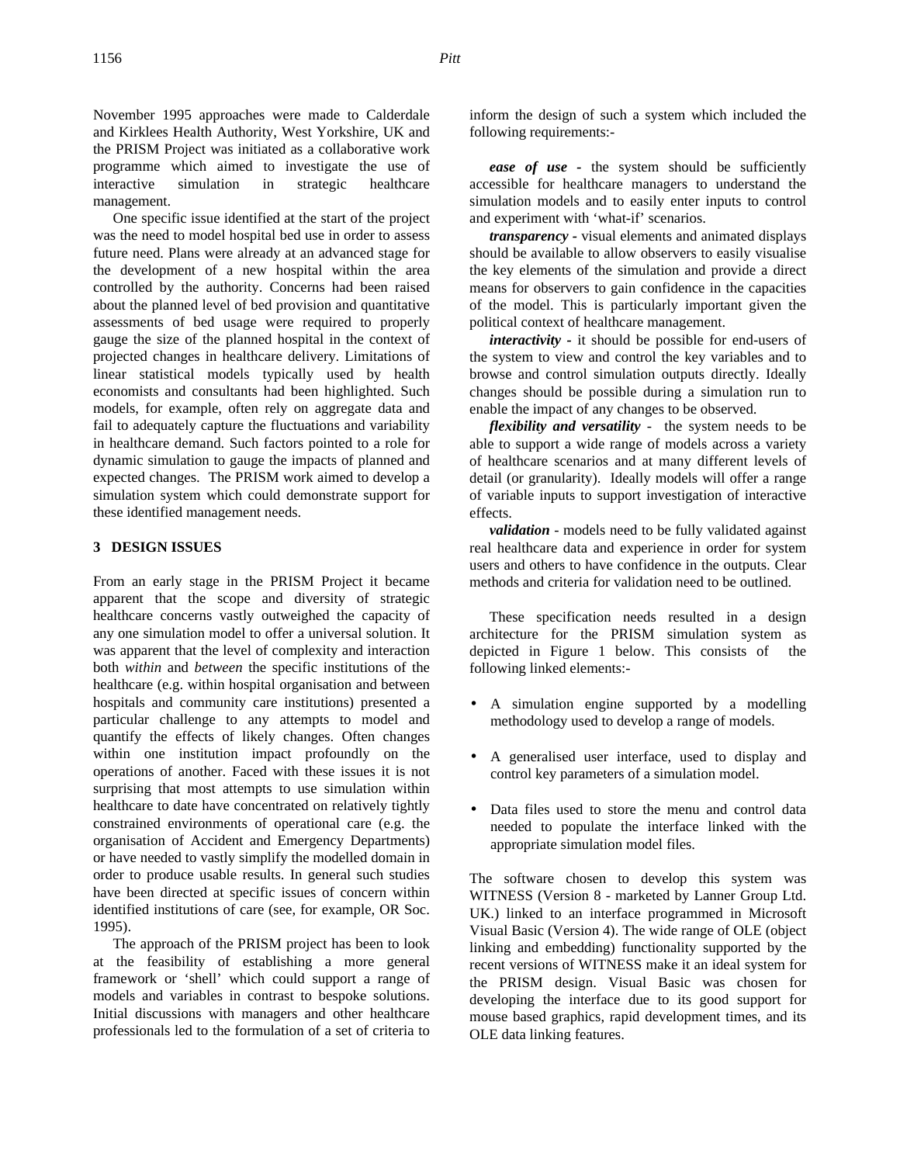November 1995 approaches were made to Calderdale and Kirklees Health Authority, West Yorkshire, UK and the PRISM Project was initiated as a collaborative work programme which aimed to investigate the use of interactive simulation in strategic healthcare management.

One specific issue identified at the start of the project was the need to model hospital bed use in order to assess future need. Plans were already at an advanced stage for the development of a new hospital within the area controlled by the authority. Concerns had been raised about the planned level of bed provision and quantitative assessments of bed usage were required to properly gauge the size of the planned hospital in the context of projected changes in healthcare delivery. Limitations of linear statistical models typically used by health economists and consultants had been highlighted. Such models, for example, often rely on aggregate data and fail to adequately capture the fluctuations and variability in healthcare demand. Such factors pointed to a role for dynamic simulation to gauge the impacts of planned and expected changes. The PRISM work aimed to develop a simulation system which could demonstrate support for these identified management needs.

### **3 DESIGN ISSUES**

From an early stage in the PRISM Project it became apparent that the scope and diversity of strategic healthcare concerns vastly outweighed the capacity of any one simulation model to offer a universal solution. It was apparent that the level of complexity and interaction both *within* and *between* the specific institutions of the healthcare (e.g. within hospital organisation and between hospitals and community care institutions) presented a particular challenge to any attempts to model and quantify the effects of likely changes. Often changes within one institution impact profoundly on the operations of another. Faced with these issues it is not surprising that most attempts to use simulation within healthcare to date have concentrated on relatively tightly constrained environments of operational care (e.g. the organisation of Accident and Emergency Departments) or have needed to vastly simplify the modelled domain in order to produce usable results. In general such studies have been directed at specific issues of concern within identified institutions of care (see, for example, OR Soc. 1995).

The approach of the PRISM project has been to look at the feasibility of establishing a more general framework or 'shell' which could support a range of models and variables in contrast to bespoke solutions. Initial discussions with managers and other healthcare professionals led to the formulation of a set of criteria to inform the design of such a system which included the following requirements:-

*ease of use -* the system should be sufficiently accessible for healthcare managers to understand the simulation models and to easily enter inputs to control and experiment with 'what-if' scenarios.

*transparency -* visual elements and animated displays should be available to allow observers to easily visualise the key elements of the simulation and provide a direct means for observers to gain confidence in the capacities of the model. This is particularly important given the political context of healthcare management.

*interactivity -* it should be possible for end-users of the system to view and control the key variables and to browse and control simulation outputs directly. Ideally changes should be possible during a simulation run to enable the impact of any changes to be observed.

*flexibility and versatility* - the system needs to be able to support a wide range of models across a variety of healthcare scenarios and at many different levels of detail (or granularity). Ideally models will offer a range of variable inputs to support investigation of interactive effects.

*validation* - models need to be fully validated against real healthcare data and experience in order for system users and others to have confidence in the outputs. Clear methods and criteria for validation need to be outlined.

These specification needs resulted in a design architecture for the PRISM simulation system as depicted in Figure 1 below. This consists of the following linked elements:-

- A simulation engine supported by a modelling methodology used to develop a range of models.
- A generalised user interface, used to display and control key parameters of a simulation model.
- Data files used to store the menu and control data needed to populate the interface linked with the appropriate simulation model files.

The software chosen to develop this system was WITNESS (Version 8 - marketed by Lanner Group Ltd. UK.) linked to an interface programmed in Microsoft Visual Basic (Version 4). The wide range of OLE (object linking and embedding) functionality supported by the recent versions of WITNESS make it an ideal system for the PRISM design. Visual Basic was chosen for developing the interface due to its good support for mouse based graphics, rapid development times, and its OLE data linking features.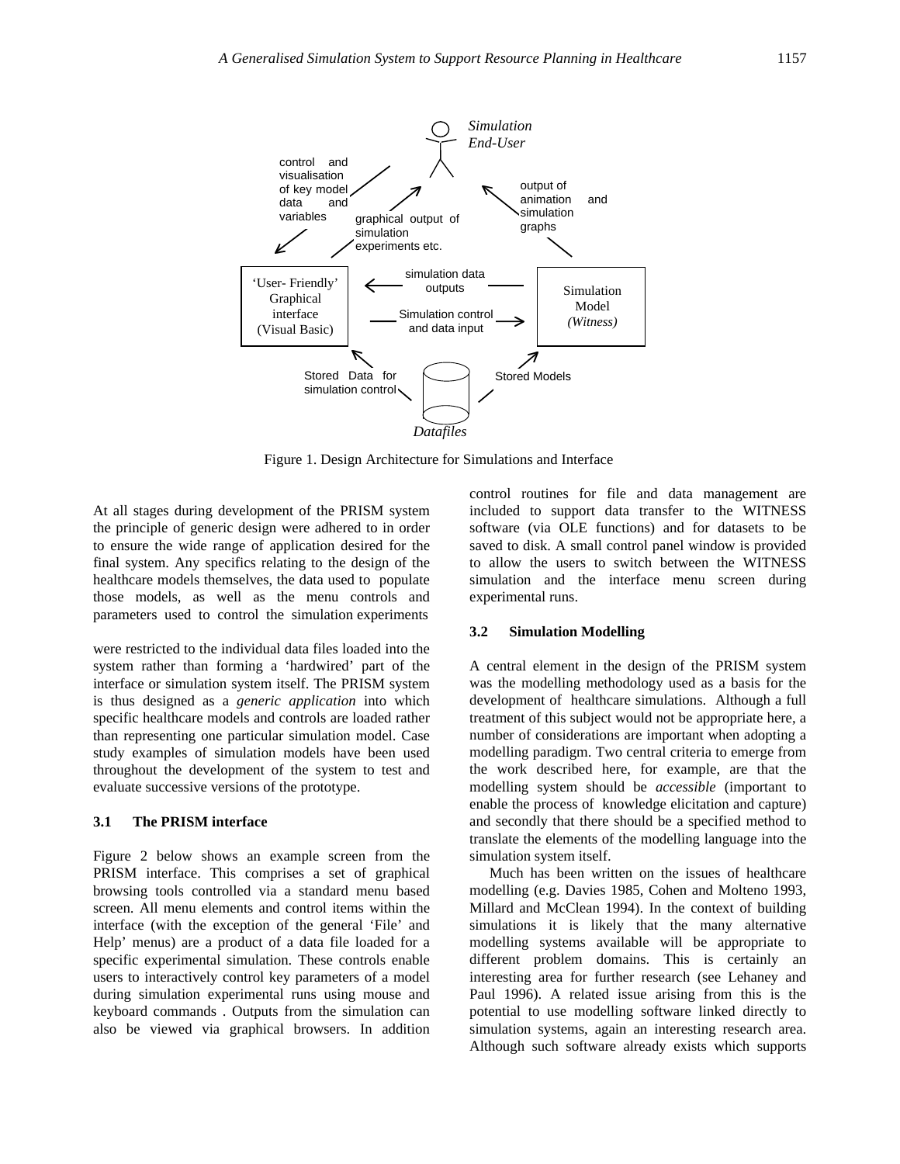

Figure 1. Design Architecture for Simulations and Interface

At all stages during development of the PRISM system the principle of generic design were adhered to in order to ensure the wide range of application desired for the final system. Any specifics relating to the design of the healthcare models themselves, the data used to populate those models, as well as the menu controls and parameters used to control the simulation experiments

were restricted to the individual data files loaded into the system rather than forming a 'hardwired' part of the interface or simulation system itself. The PRISM system is thus designed as a *generic application* into which specific healthcare models and controls are loaded rather than representing one particular simulation model. Case study examples of simulation models have been used throughout the development of the system to test and evaluate successive versions of the prototype.

#### **3.1 The PRISM interface**

Figure 2 below shows an example screen from the PRISM interface. This comprises a set of graphical browsing tools controlled via a standard menu based screen. All menu elements and control items within the interface (with the exception of the general 'File' and Help' menus) are a product of a data file loaded for a specific experimental simulation. These controls enable users to interactively control key parameters of a model during simulation experimental runs using mouse and keyboard commands . Outputs from the simulation can also be viewed via graphical browsers. In addition

control routines for file and data management are included to support data transfer to the WITNESS software (via OLE functions) and for datasets to be saved to disk. A small control panel window is provided to allow the users to switch between the WITNESS simulation and the interface menu screen during experimental runs.

### **3.2 Simulation Modelling**

A central element in the design of the PRISM system was the modelling methodology used as a basis for the development of healthcare simulations. Although a full treatment of this subject would not be appropriate here, a number of considerations are important when adopting a modelling paradigm. Two central criteria to emerge from the work described here, for example, are that the modelling system should be *accessible* (important to enable the process of knowledge elicitation and capture) and secondly that there should be a specified method to translate the elements of the modelling language into the simulation system itself.

Much has been written on the issues of healthcare modelling (e.g. Davies 1985, Cohen and Molteno 1993, Millard and McClean 1994). In the context of building simulations it is likely that the many alternative modelling systems available will be appropriate to different problem domains. This is certainly an interesting area for further research (see Lehaney and Paul 1996). A related issue arising from this is the potential to use modelling software linked directly to simulation systems, again an interesting research area. Although such software already exists which supports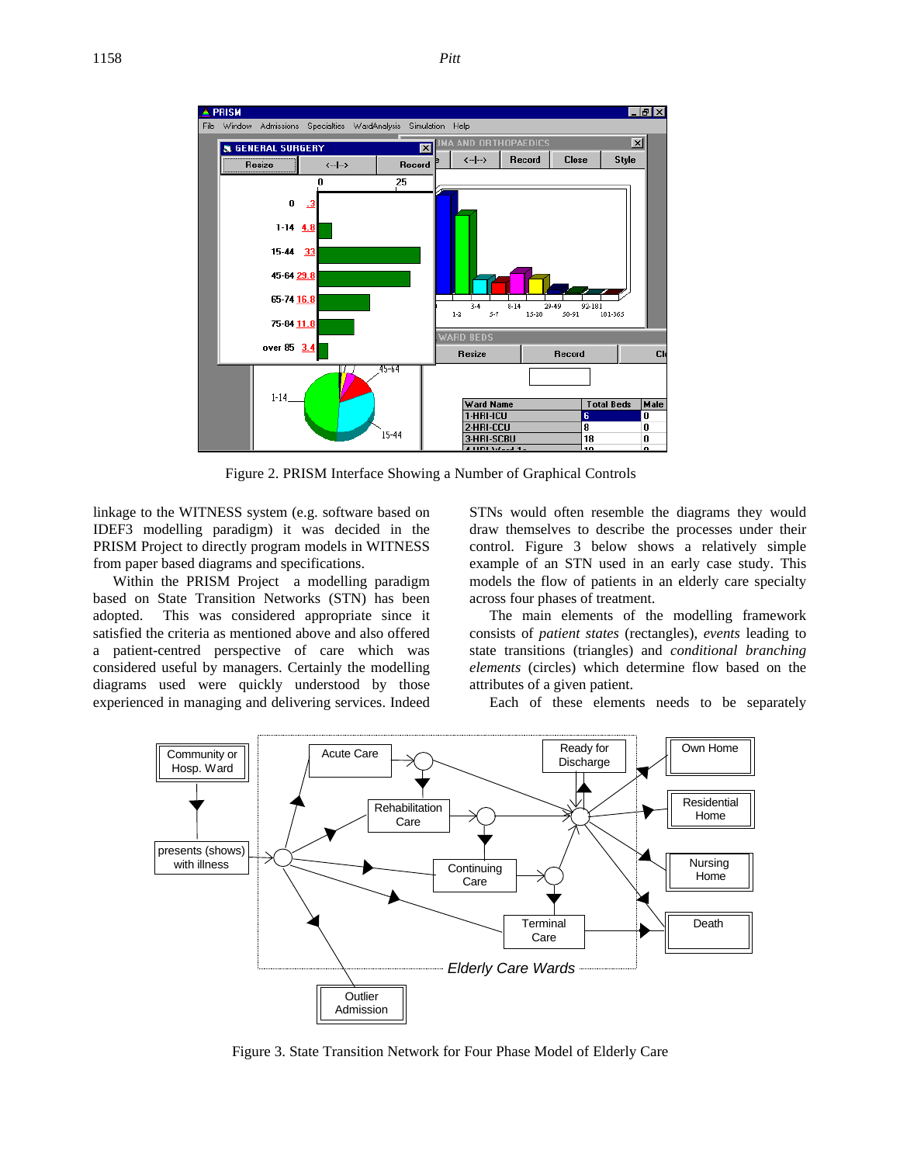

Figure 2. PRISM Interface Showing a Number of Graphical Controls

linkage to the WITNESS system (e.g. software based on IDEF3 modelling paradigm) it was decided in the PRISM Project to directly program models in WITNESS from paper based diagrams and specifications.

Within the PRISM Project a modelling paradigm based on State Transition Networks (STN) has been adopted. This was considered appropriate since it satisfied the criteria as mentioned above and also offered a patient-centred perspective of care which was considered useful by managers. Certainly the modelling diagrams used were quickly understood by those experienced in managing and delivering services. Indeed

STNs would often resemble the diagrams they would draw themselves to describe the processes under their control. Figure 3 below shows a relatively simple example of an STN used in an early case study. This models the flow of patients in an elderly care specialty across four phases of treatment.

The main elements of the modelling framework consists of *patient states* (rectangles), *events* leading to state transitions (triangles) and *conditional branching elements* (circles) which determine flow based on the attributes of a given patient.

Each of these elements needs to be separately



Figure 3. State Transition Network for Four Phase Model of Elderly Care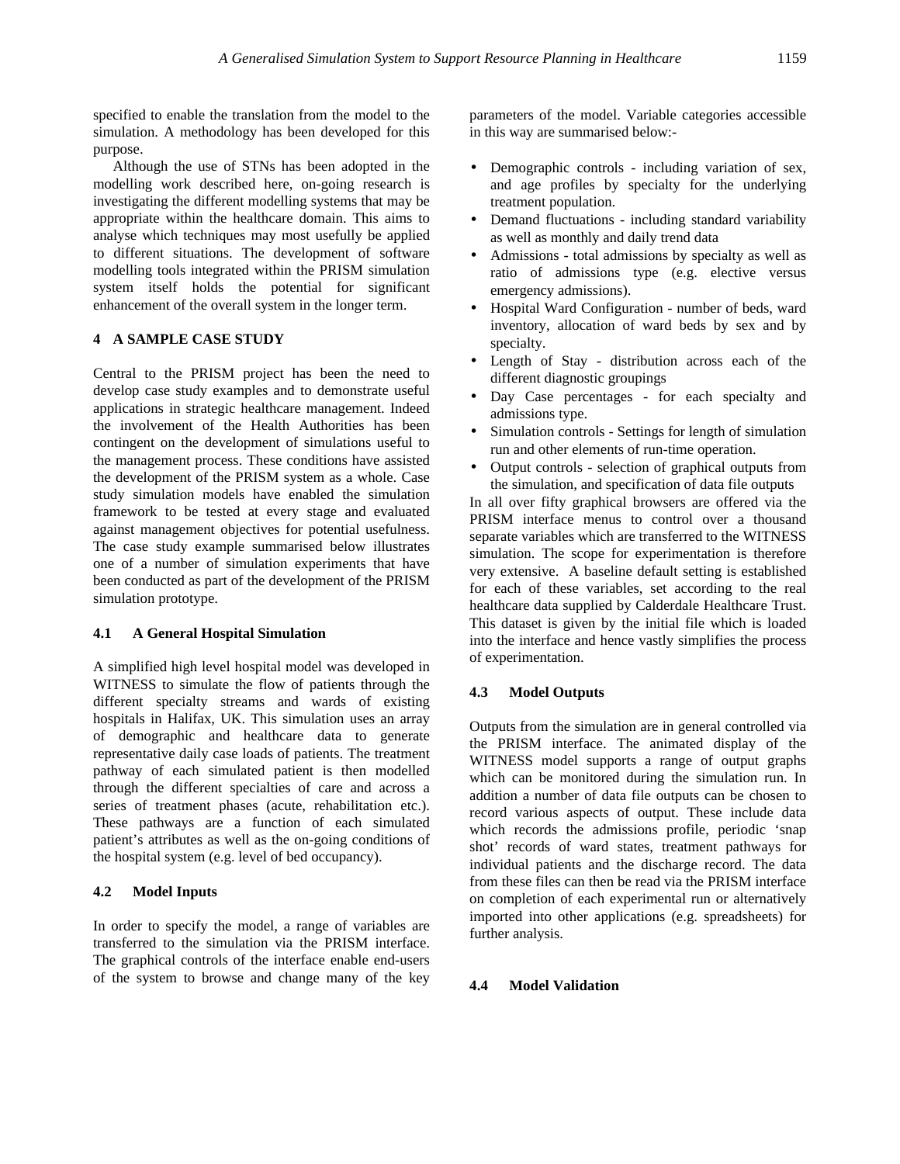specified to enable the translation from the model to the simulation. A methodology has been developed for this purpose.

Although the use of STNs has been adopted in the modelling work described here, on-going research is investigating the different modelling systems that may be appropriate within the healthcare domain. This aims to analyse which techniques may most usefully be applied to different situations. The development of software modelling tools integrated within the PRISM simulation system itself holds the potential for significant enhancement of the overall system in the longer term.

# **4 A SAMPLE CASE STUDY**

Central to the PRISM project has been the need to develop case study examples and to demonstrate useful applications in strategic healthcare management. Indeed the involvement of the Health Authorities has been contingent on the development of simulations useful to the management process. These conditions have assisted the development of the PRISM system as a whole. Case study simulation models have enabled the simulation framework to be tested at every stage and evaluated against management objectives for potential usefulness. The case study example summarised below illustrates one of a number of simulation experiments that have been conducted as part of the development of the PRISM simulation prototype.

#### **4.1 A General Hospital Simulation**

A simplified high level hospital model was developed in WITNESS to simulate the flow of patients through the different specialty streams and wards of existing hospitals in Halifax, UK. This simulation uses an array of demographic and healthcare data to generate representative daily case loads of patients. The treatment pathway of each simulated patient is then modelled through the different specialties of care and across a series of treatment phases (acute, rehabilitation etc.). These pathways are a function of each simulated patient's attributes as well as the on-going conditions of the hospital system (e.g. level of bed occupancy).

#### **4.2 Model Inputs**

In order to specify the model, a range of variables are transferred to the simulation via the PRISM interface. The graphical controls of the interface enable end-users of the system to browse and change many of the key

parameters of the model. Variable categories accessible in this way are summarised below:-

- Demographic controls including variation of sex, and age profiles by specialty for the underlying treatment population.
- Demand fluctuations including standard variability as well as monthly and daily trend data
- Admissions total admissions by specialty as well as ratio of admissions type (e.g. elective versus emergency admissions).
- Hospital Ward Configuration number of beds, ward inventory, allocation of ward beds by sex and by specialty.
- Length of Stay distribution across each of the different diagnostic groupings
- Day Case percentages for each specialty and admissions type.
- Simulation controls Settings for length of simulation run and other elements of run-time operation.
- Output controls selection of graphical outputs from the simulation, and specification of data file outputs

In all over fifty graphical browsers are offered via the PRISM interface menus to control over a thousand separate variables which are transferred to the WITNESS simulation. The scope for experimentation is therefore very extensive. A baseline default setting is established for each of these variables, set according to the real healthcare data supplied by Calderdale Healthcare Trust. This dataset is given by the initial file which is loaded into the interface and hence vastly simplifies the process of experimentation.

### **4.3 Model Outputs**

Outputs from the simulation are in general controlled via the PRISM interface. The animated display of the WITNESS model supports a range of output graphs which can be monitored during the simulation run. In addition a number of data file outputs can be chosen to record various aspects of output. These include data which records the admissions profile, periodic 'snap shot' records of ward states, treatment pathways for individual patients and the discharge record. The data from these files can then be read via the PRISM interface on completion of each experimental run or alternatively imported into other applications (e.g. spreadsheets) for further analysis.

# **4.4 Model Validation**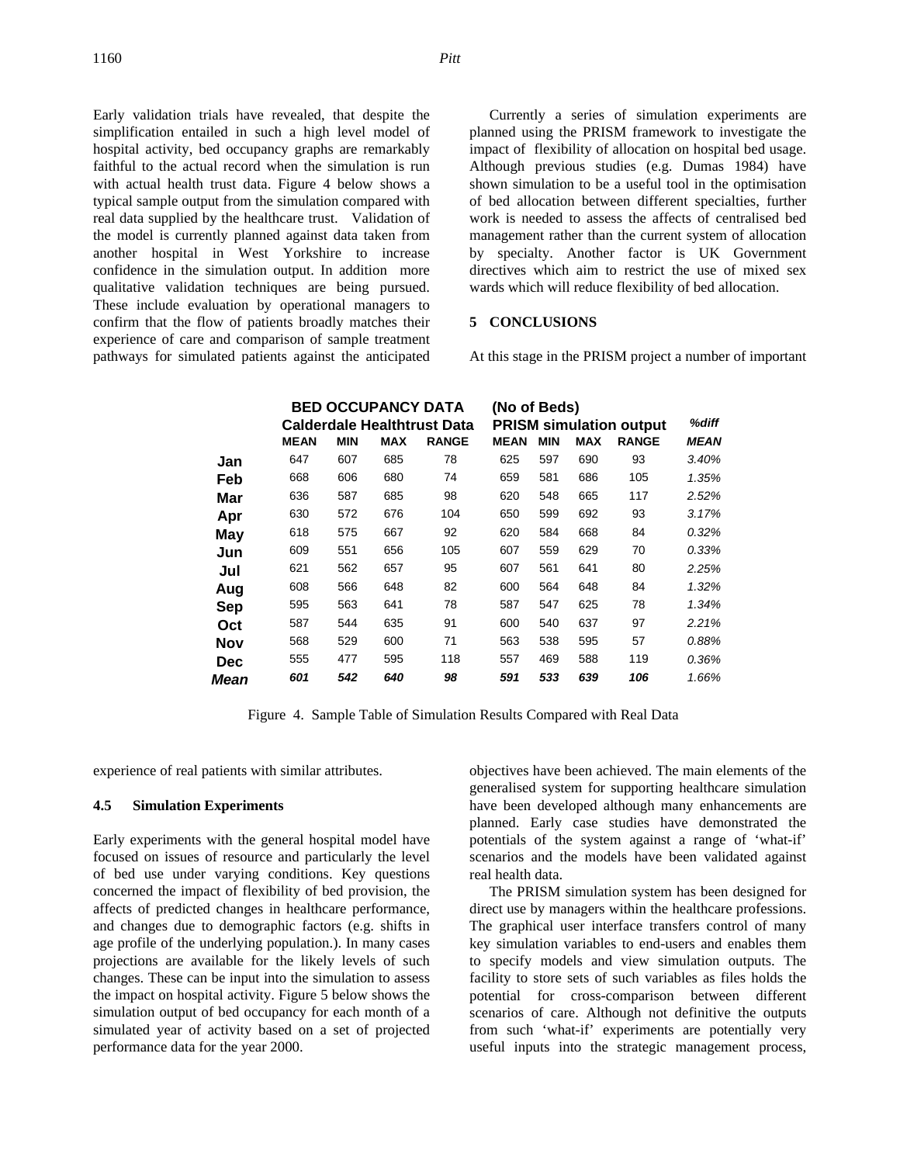Early validation trials have revealed, that despite the simplification entailed in such a high level model of hospital activity, bed occupancy graphs are remarkably faithful to the actual record when the simulation is run with actual health trust data. Figure 4 below shows a typical sample output from the simulation compared with real data supplied by the healthcare trust. Validation of the model is currently planned against data taken from another hospital in West Yorkshire to increase confidence in the simulation output. In addition more qualitative validation techniques are being pursued. These include evaluation by operational managers to confirm that the flow of patients broadly matches their experience of care and comparison of sample treatment pathways for simulated patients against the anticipated

Currently a series of simulation experiments are planned using the PRISM framework to investigate the impact of flexibility of allocation on hospital bed usage. Although previous studies (e.g. Dumas 1984) have shown simulation to be a useful tool in the optimisation of bed allocation between different specialties, further work is needed to assess the affects of centralised bed management rather than the current system of allocation by specialty. Another factor is UK Government directives which aim to restrict the use of mixed sex wards which will reduce flexibility of bed allocation.

### **5 CONCLUSIONS**

At this stage in the PRISM project a number of important

|            | <b>BED OCCUPANCY DATA</b>          |            |            |              | (No of Beds)                   |            |            |              |                    |
|------------|------------------------------------|------------|------------|--------------|--------------------------------|------------|------------|--------------|--------------------|
|            | <b>Calderdale Healthtrust Data</b> |            |            |              | <b>PRISM simulation output</b> |            |            |              | %diff              |
|            | <b>MEAN</b>                        | <b>MIN</b> | <b>MAX</b> | <b>RANGE</b> | <b>MEAN</b>                    | <b>MIN</b> | <b>MAX</b> | <b>RANGE</b> | <i><b>MEAN</b></i> |
| Jan        | 647                                | 607        | 685        | 78           | 625                            | 597        | 690        | 93           | 3.40%              |
| Feb        | 668                                | 606        | 680        | 74           | 659                            | 581        | 686        | 105          | 1.35%              |
| Mar        | 636                                | 587        | 685        | 98           | 620                            | 548        | 665        | 117          | 2.52%              |
| Apr        | 630                                | 572        | 676        | 104          | 650                            | 599        | 692        | 93           | 3.17%              |
| May        | 618                                | 575        | 667        | 92           | 620                            | 584        | 668        | 84           | 0.32%              |
| Jun        | 609                                | 551        | 656        | 105          | 607                            | 559        | 629        | 70           | 0.33%              |
| Jul        | 621                                | 562        | 657        | 95           | 607                            | 561        | 641        | 80           | 2.25%              |
| Aug        | 608                                | 566        | 648        | 82           | 600                            | 564        | 648        | 84           | 1.32%              |
| <b>Sep</b> | 595                                | 563        | 641        | 78           | 587                            | 547        | 625        | 78           | 1.34%              |
| Oct        | 587                                | 544        | 635        | 91           | 600                            | 540        | 637        | 97           | 2.21%              |
| <b>Nov</b> | 568                                | 529        | 600        | 71           | 563                            | 538        | 595        | 57           | 0.88%              |
| <b>Dec</b> | 555                                | 477        | 595        | 118          | 557                            | 469        | 588        | 119          | 0.36%              |
| Mean       | 601                                | 542        | 640        | 98           | 591                            | 533        | 639        | 106          | 1.66%              |

Figure 4. Sample Table of Simulation Results Compared with Real Data

experience of real patients with similar attributes.

#### **4.5 Simulation Experiments**

Early experiments with the general hospital model have focused on issues of resource and particularly the level of bed use under varying conditions. Key questions concerned the impact of flexibility of bed provision, the affects of predicted changes in healthcare performance, and changes due to demographic factors (e.g. shifts in age profile of the underlying population.). In many cases projections are available for the likely levels of such changes. These can be input into the simulation to assess the impact on hospital activity. Figure 5 below shows the simulation output of bed occupancy for each month of a simulated year of activity based on a set of projected performance data for the year 2000.

objectives have been achieved. The main elements of the generalised system for supporting healthcare simulation have been developed although many enhancements are planned. Early case studies have demonstrated the potentials of the system against a range of 'what-if' scenarios and the models have been validated against real health data.

The PRISM simulation system has been designed for direct use by managers within the healthcare professions. The graphical user interface transfers control of many key simulation variables to end-users and enables them to specify models and view simulation outputs. The facility to store sets of such variables as files holds the potential for cross-comparison between different scenarios of care. Although not definitive the outputs from such 'what-if' experiments are potentially very useful inputs into the strategic management process,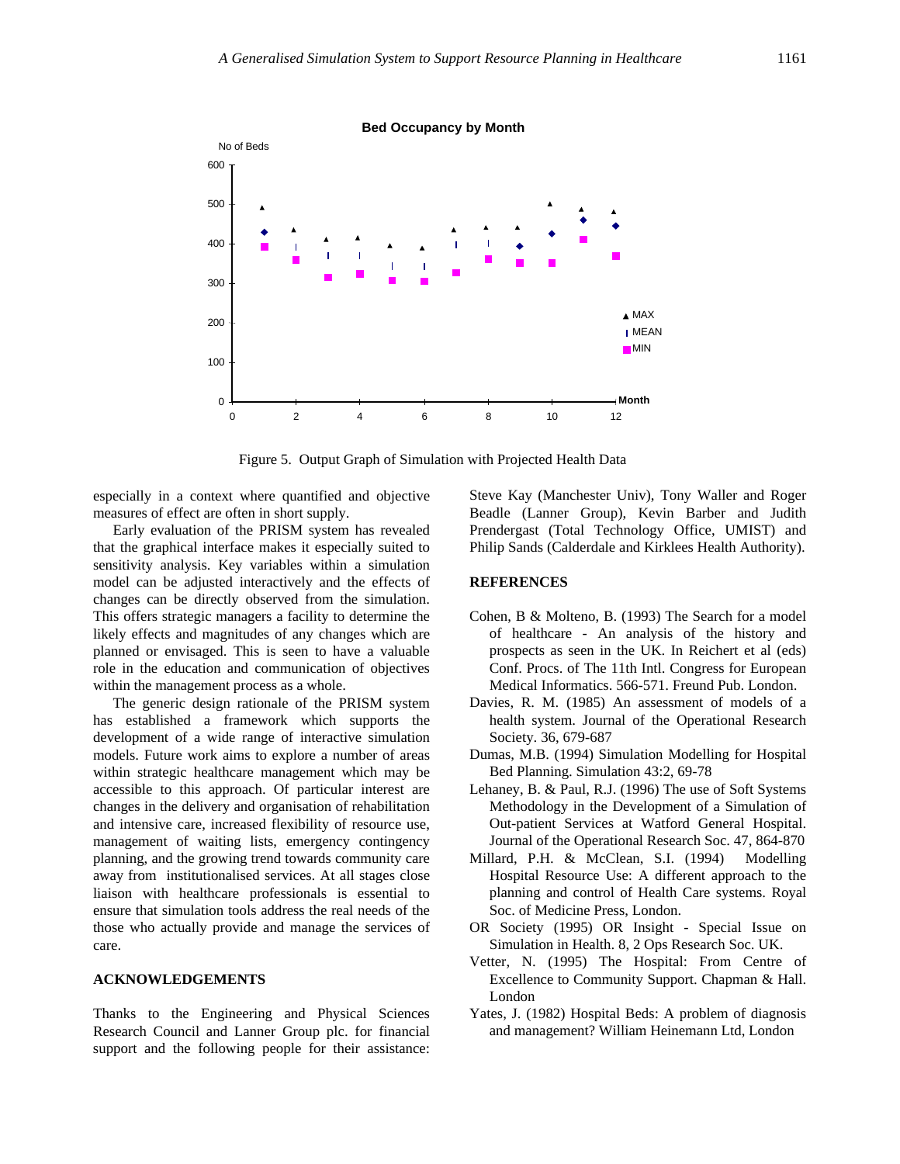

Figure 5. Output Graph of Simulation with Projected Health Data

especially in a context where quantified and objective measures of effect are often in short supply.

Early evaluation of the PRISM system has revealed that the graphical interface makes it especially suited to sensitivity analysis. Key variables within a simulation model can be adjusted interactively and the effects of changes can be directly observed from the simulation. This offers strategic managers a facility to determine the likely effects and magnitudes of any changes which are planned or envisaged. This is seen to have a valuable role in the education and communication of objectives within the management process as a whole.

The generic design rationale of the PRISM system has established a framework which supports the development of a wide range of interactive simulation models. Future work aims to explore a number of areas within strategic healthcare management which may be accessible to this approach. Of particular interest are changes in the delivery and organisation of rehabilitation and intensive care, increased flexibility of resource use, management of waiting lists, emergency contingency planning, and the growing trend towards community care away from institutionalised services. At all stages close liaison with healthcare professionals is essential to ensure that simulation tools address the real needs of the those who actually provide and manage the services of care.

## **ACKNOWLEDGEMENTS**

Thanks to the Engineering and Physical Sciences Research Council and Lanner Group plc. for financial support and the following people for their assistance: Steve Kay (Manchester Univ), Tony Waller and Roger Beadle (Lanner Group), Kevin Barber and Judith Prendergast (Total Technology Office, UMIST) and Philip Sands (Calderdale and Kirklees Health Authority).

### **REFERENCES**

- Cohen, B & Molteno, B. (1993) The Search for a model of healthcare - An analysis of the history and prospects as seen in the UK. In Reichert et al (eds) Conf. Procs. of The 11th Intl. Congress for European Medical Informatics. 566-571. Freund Pub. London.
- Davies, R. M. (1985) An assessment of models of a health system. Journal of the Operational Research Society. 36, 679-687
- Dumas, M.B. (1994) Simulation Modelling for Hospital Bed Planning. Simulation 43:2, 69-78
- Lehaney, B. & Paul, R.J. (1996) The use of Soft Systems Methodology in the Development of a Simulation of Out-patient Services at Watford General Hospital. Journal of the Operational Research Soc. 47, 864-870
- Millard, P.H. & McClean, S.I. (1994) Modelling Hospital Resource Use: A different approach to the planning and control of Health Care systems. Royal Soc. of Medicine Press, London.
- OR Society (1995) OR Insight Special Issue on Simulation in Health. 8, 2 Ops Research Soc. UK.
- Vetter, N. (1995) The Hospital: From Centre of Excellence to Community Support. Chapman & Hall. London
- Yates, J. (1982) Hospital Beds: A problem of diagnosis and management? William Heinemann Ltd, London